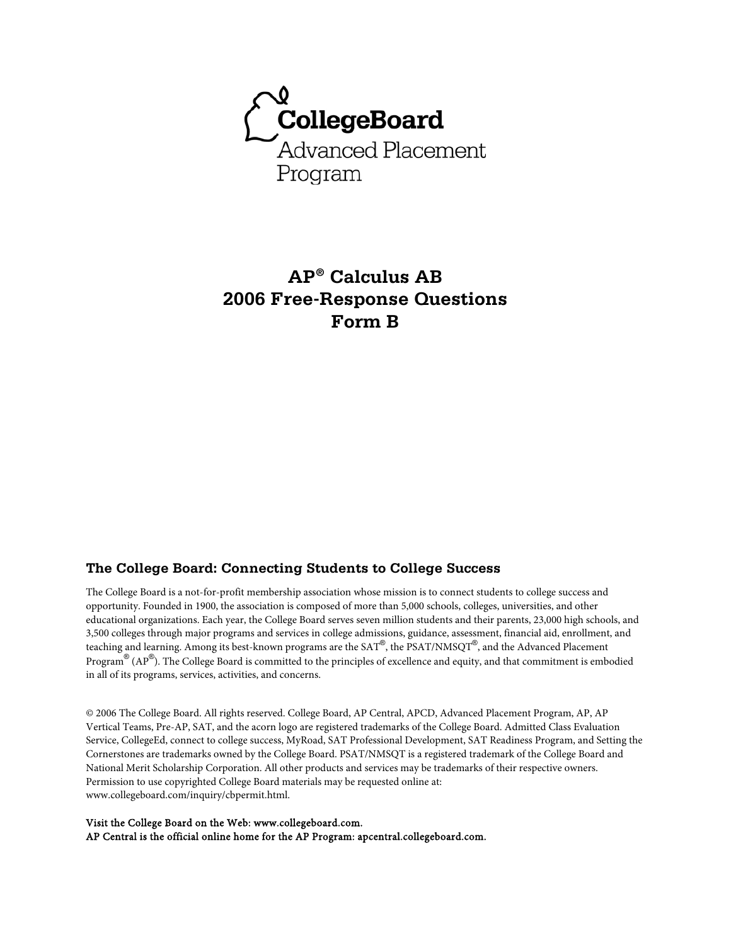

# **AP® Calculus AB 2006 Free-Response Questions Form B**

### **The College Board: Connecting Students to College Success**

The College Board is a not-for-profit membership association whose mission is to connect students to college success and opportunity. Founded in 1900, the association is composed of more than 5,000 schools, colleges, universities, and other educational organizations. Each year, the College Board serves seven million students and their parents, 23,000 high schools, and 3,500 colleges through major programs and services in college admissions, guidance, assessment, financial aid, enrollment, and teaching and learning. Among its best-known programs are the SAT®, the PSAT/NMSQT®, and the Advanced Placement Program® (AP®). The College Board is committed to the principles of excellence and equity, and that commitment is embodied in all of its programs, services, activities, and concerns.

© 2006 The College Board. All rights reserved. College Board, AP Central, APCD, Advanced Placement Program, AP, AP Vertical Teams, Pre-AP, SAT, and the acorn logo are registered trademarks of the College Board. Admitted Class Evaluation Service, CollegeEd, connect to college success, MyRoad, SAT Professional Development, SAT Readiness Program, and Setting the Cornerstones are trademarks owned by the College Board. PSAT/NMSQT is a registered trademark of the College Board and National Merit Scholarship Corporation. All other products and services may be trademarks of their respective owners. Permission to use copyrighted College Board materials may be requested online at: www.collegeboard.com/inquiry/cbpermit.html.

Visit the College Board on the Web: www.collegeboard.com. AP Central is the official online home for the AP Program: apcentral.collegeboard.com.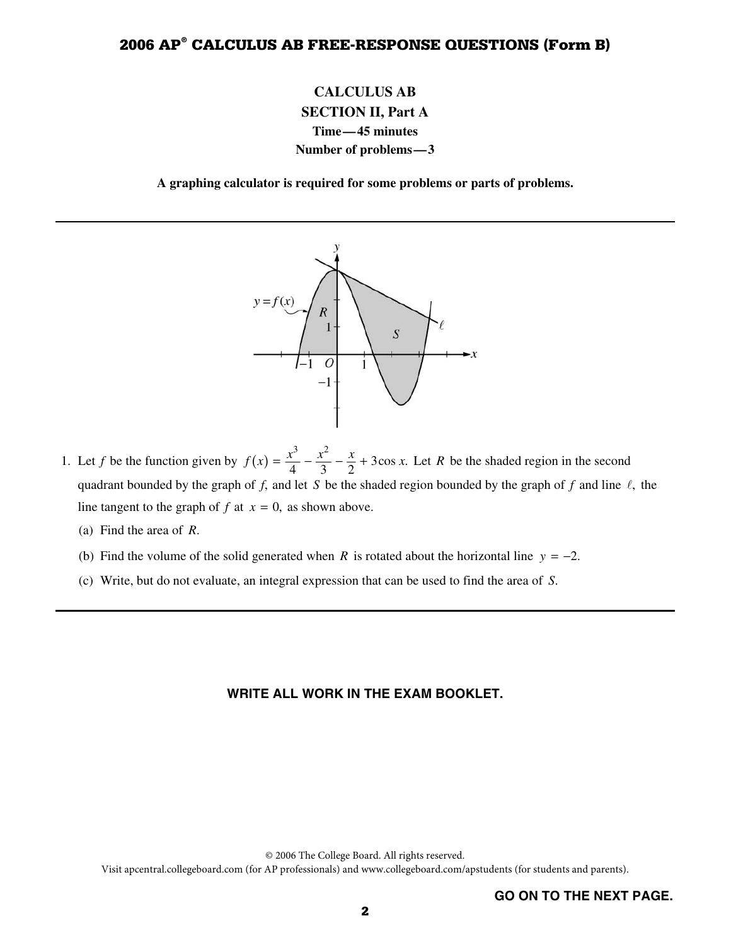# **CALCULUS AB SECTION II, Part A Time—45 minutes Number of problems—3**

**A graphing calculator is required for some problems or parts of problems.** 



- 1. Let *f* be the function given by  $f(x)$  $3 \frac{x^2}{2}$  $f(x) = \frac{x^3}{4} - \frac{x^2}{3} - \frac{x}{2} + 3\cos x$ . Let *R* be the shaded region in the second quadrant bounded by the graph of  $f$ , and let  $S$  be the shaded region bounded by the graph of  $f$  and line  $\ell$ , the line tangent to the graph of  $f$  at  $x = 0$ , as shown above.
	- (a) Find the area of *R*.
	- (b) Find the volume of the solid generated when *R* is rotated about the horizontal line  $y = -2$ .
	- (c) Write, but do not evaluate, an integral expression that can be used to find the area of *S*.

#### **WRITE ALL WORK IN THE EXAM BOOKLET.**

© 2006 The College Board. All rights reserved.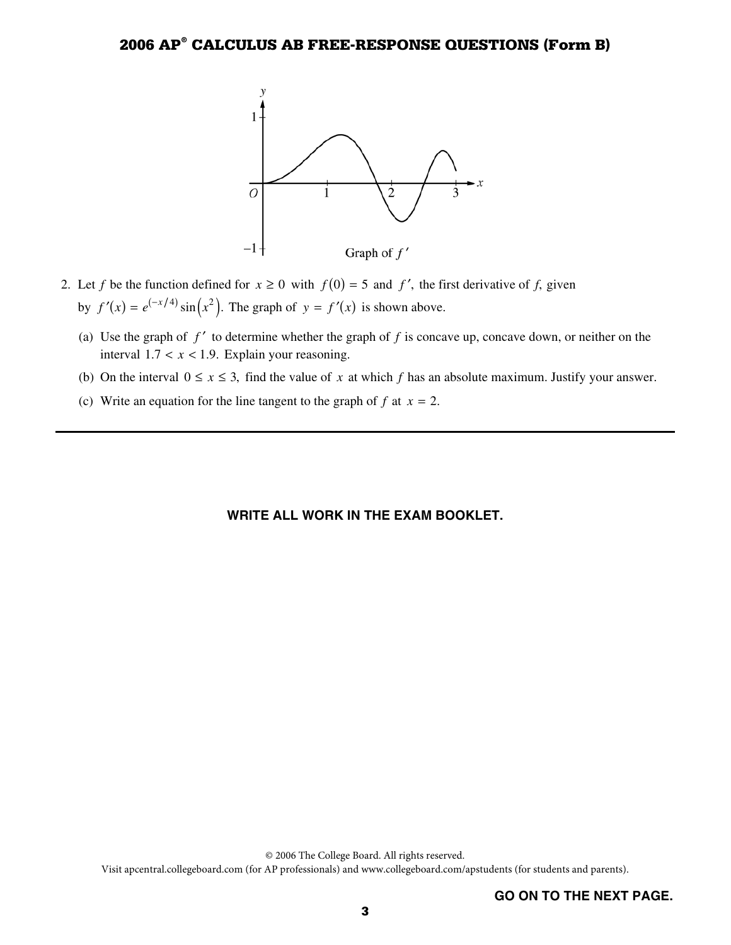

- 2. Let *f* be the function defined for  $x \ge 0$  with  $f(0) = 5$  and  $f'$ , the first derivative of *f*, given by  $f'(x) = e^{(-x/4)} \sin(x^2)$ . The graph of  $y = f'(x)$  is shown above.
	- (a) Use the graph of  $f'$  to determine whether the graph of  $f$  is concave up, concave down, or neither on the interval  $1.7 < x < 1.9$ . Explain your reasoning.
	- (b) On the interval  $0 \le x \le 3$ , find the value of x at which f has an absolute maximum. Justify your answer.
	- (c) Write an equation for the line tangent to the graph of  $f$  at  $x = 2$ .

#### **WRITE ALL WORK IN THE EXAM BOOKLET.**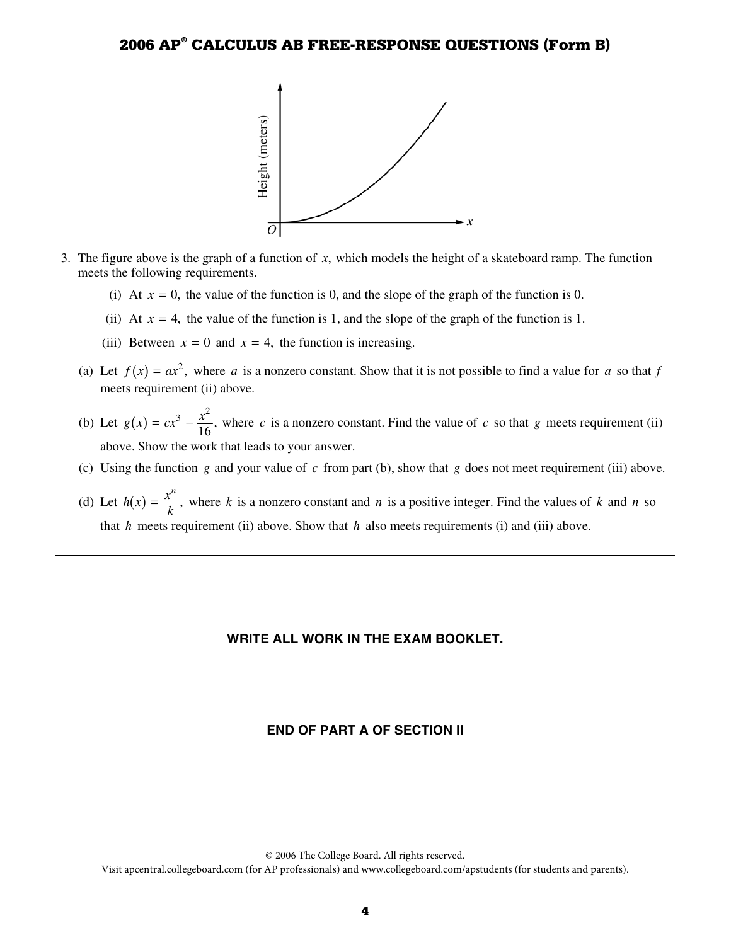

- 3. The figure above is the graph of a function of *x*, which models the height of a skateboard ramp. The function meets the following requirements.
	- (i) At  $x = 0$ , the value of the function is 0, and the slope of the graph of the function is 0.
	- (ii) At  $x = 4$ , the value of the function is 1, and the slope of the graph of the function is 1.
	- (iii) Between  $x = 0$  and  $x = 4$ , the function is increasing.
	- (a) Let  $f(x) = ax^2$ , where *a* is a nonzero constant. Show that it is not possible to find a value for *a* so that *f* meets requirement (ii) above.
	- (b) Let  $g(x)$  $g(x) = cx^3 - \frac{x^2}{16}$ , where *c* is a nonzero constant. Find the value of *c* so that *g* meets requirement (ii) above. Show the work that leads to your answer.
	- (c) Using the function  $g$  and your value of  $c$  from part (b), show that  $g$  does not meet requirement (iii) above.
	- (d) Let  $h(x) = \frac{x^n}{k}$ , where *k* is a nonzero constant and *n* is a positive integer. Find the values of *k* and *n* so that  $h$  meets requirement (ii) above. Show that  $h$  also meets requirements (i) and (iii) above.

#### **WRITE ALL WORK IN THE EXAM BOOKLET.**

#### **END OF PART A OF SECTION II**

© 2006 The College Board. All rights reserved.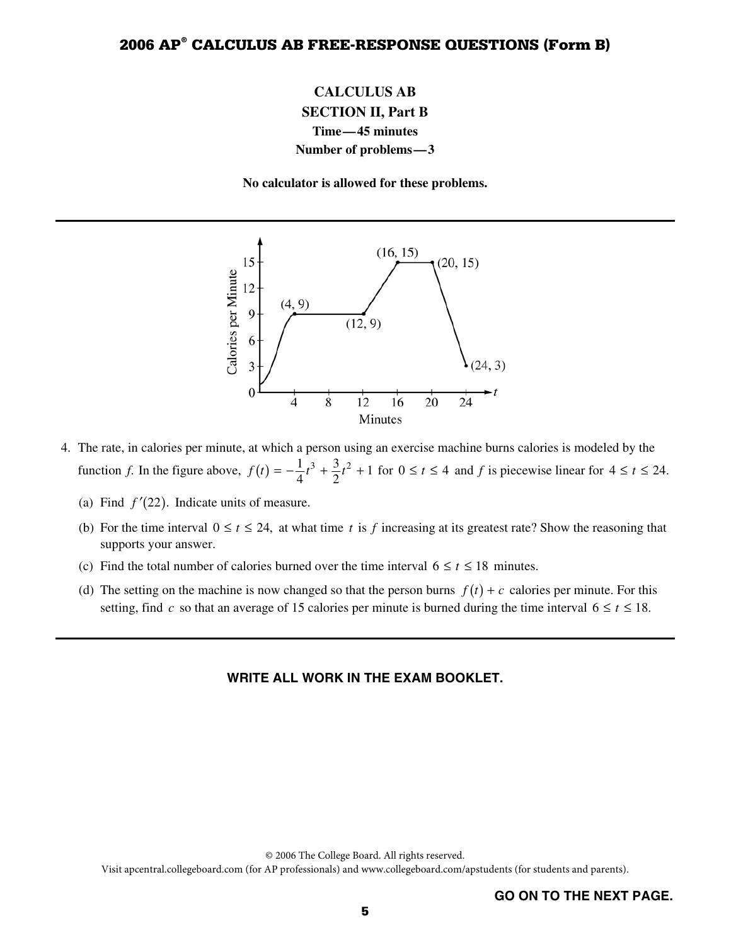# **CALCULUS AB SECTION II, Part B Time—45 minutes Number of problems—3**

**No calculator is allowed for these problems.** 



- 4. The rate, in calories per minute, at which a person using an exercise machine burns calories is modeled by the function *f*. In the figure above,  $f(t) = -\frac{1}{4}t^3 + \frac{3}{2}t^2 + 1$  for  $0 \le t \le 4$  and *f* is piecewise linear for  $4 \le t \le 24$ .
	- (a) Find  $f'(22)$ . Indicate units of measure.
	- (b) For the time interval  $0 \le t \le 24$ , at what time *t* is *f* increasing at its greatest rate? Show the reasoning that supports your answer.
	- (c) Find the total number of calories burned over the time interval  $6 \le t \le 18$  minutes.
	- (d) The setting on the machine is now changed so that the person burns  $f(t) + c$  calories per minute. For this setting, find *c* so that an average of 15 calories per minute is burned during the time interval  $6 \le t \le 18$ .

#### **WRITE ALL WORK IN THE EXAM BOOKLET.**

© 2006 The College Board. All rights reserved.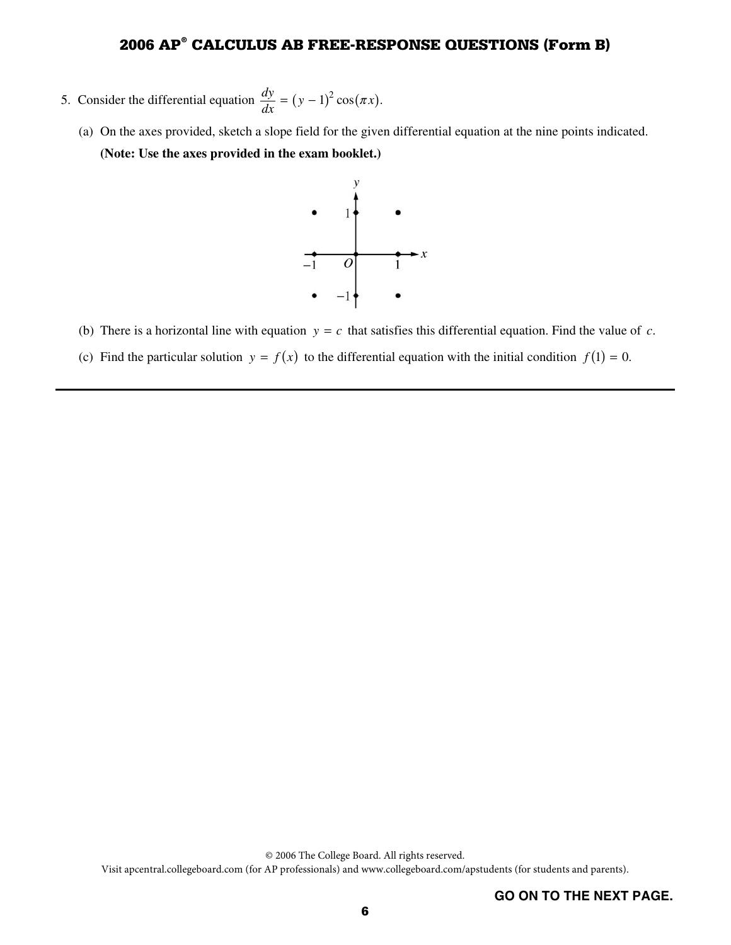- 5. Consider the differential equation  $\frac{dy}{dx} = (y 1)^2 \cos(\pi x)$ .
	- (a) On the axes provided, sketch a slope field for the given differential equation at the nine points indicated. **(Note: Use the axes provided in the exam booklet.)**



- (b) There is a horizontal line with equation  $y = c$  that satisfies this differential equation. Find the value of *c*.
- (c) Find the particular solution  $y = f(x)$  to the differential equation with the initial condition  $f(1) = 0$ .